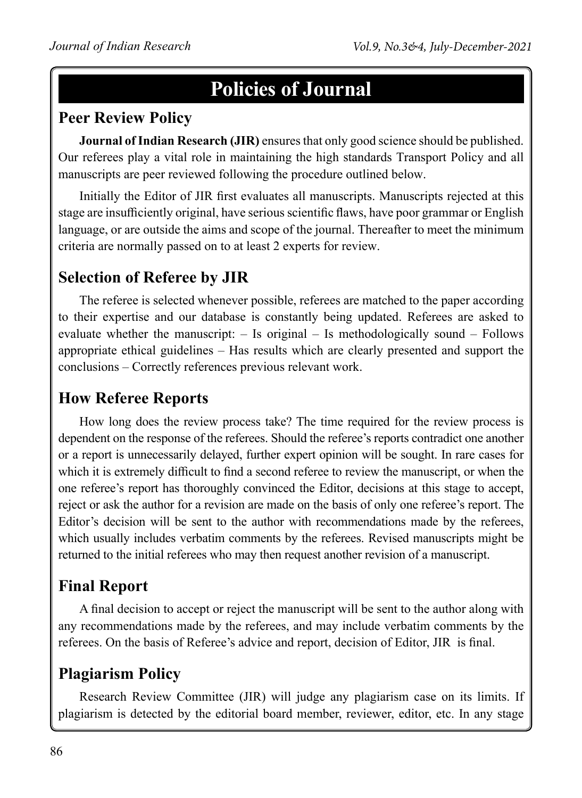# **Policies of Journal**

#### **Peer Review Policy**

**Journal of Indian Research (JIR)** ensures that only good science should be published. Our referees play a vital role in maintaining the high standards Transport Policy and all manuscripts are peer reviewed following the procedure outlined below.

Initially the Editor of JIR first evaluates all manuscripts. Manuscripts rejected at this stage are insufficiently original, have serious scientific flaws, have poor grammar or English language, or are outside the aims and scope of the journal. Thereafter to meet the minimum criteria are normally passed on to at least 2 experts for review.

### **Selection of Referee by JIR**

The referee is selected whenever possible, referees are matched to the paper according to their expertise and our database is constantly being updated. Referees are asked to evaluate whether the manuscript: – Is original – Is methodologically sound – Follows appropriate ethical guidelines – Has results which are clearly presented and support the conclusions – Correctly references previous relevant work.

### **How Referee Reports**

How long does the review process take? The time required for the review process is dependent on the response of the referees. Should the referee's reports contradict one another or a report is unnecessarily delayed, further expert opinion will be sought. In rare cases for which it is extremely difficult to find a second referee to review the manuscript, or when the one referee's report has thoroughly convinced the Editor, decisions at this stage to accept, reject or ask the author for a revision are made on the basis of only one referee's report. The Editor's decision will be sent to the author with recommendations made by the referees, which usually includes verbatim comments by the referees. Revised manuscripts might be returned to the initial referees who may then request another revision of a manuscript.

### **Final Report**

A final decision to accept or reject the manuscript will be sent to the author along with any recommendations made by the referees, and may include verbatim comments by the referees. On the basis of Referee's advice and report, decision of Editor, JIR is final.

### **Plagiarism Policy**

Research Review Committee (JIR) will judge any plagiarism case on its limits. If plagiarism is detected by the editorial board member, reviewer, editor, etc. In any stage